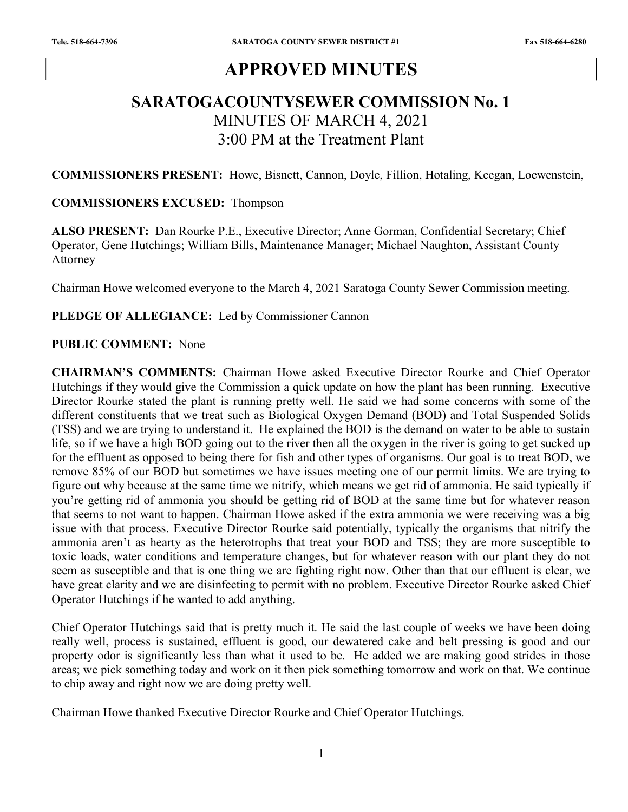# APPROVED MINUTES

# SARATOGACOUNTYSEWER COMMISSION No. 1 MINUTES OF MARCH 4, 2021 3:00 PM at the Treatment Plant

COMMISSIONERS PRESENT: Howe, Bisnett, Cannon, Doyle, Fillion, Hotaling, Keegan, Loewenstein,

### COMMISSIONERS EXCUSED: Thompson

ALSO PRESENT: Dan Rourke P.E., Executive Director; Anne Gorman, Confidential Secretary; Chief Operator, Gene Hutchings; William Bills, Maintenance Manager; Michael Naughton, Assistant County Attorney

Chairman Howe welcomed everyone to the March 4, 2021 Saratoga County Sewer Commission meeting.

### PLEDGE OF ALLEGIANCE: Led by Commissioner Cannon

### PUBLIC COMMENT: None

CHAIRMAN'S COMMENTS: Chairman Howe asked Executive Director Rourke and Chief Operator Hutchings if they would give the Commission a quick update on how the plant has been running. Executive Director Rourke stated the plant is running pretty well. He said we had some concerns with some of the different constituents that we treat such as Biological Oxygen Demand (BOD) and Total Suspended Solids (TSS) and we are trying to understand it. He explained the BOD is the demand on water to be able to sustain life, so if we have a high BOD going out to the river then all the oxygen in the river is going to get sucked up for the effluent as opposed to being there for fish and other types of organisms. Our goal is to treat BOD, we remove 85% of our BOD but sometimes we have issues meeting one of our permit limits. We are trying to figure out why because at the same time we nitrify, which means we get rid of ammonia. He said typically if you're getting rid of ammonia you should be getting rid of BOD at the same time but for whatever reason that seems to not want to happen. Chairman Howe asked if the extra ammonia we were receiving was a big issue with that process. Executive Director Rourke said potentially, typically the organisms that nitrify the ammonia aren't as hearty as the heterotrophs that treat your BOD and TSS; they are more susceptible to toxic loads, water conditions and temperature changes, but for whatever reason with our plant they do not seem as susceptible and that is one thing we are fighting right now. Other than that our effluent is clear, we have great clarity and we are disinfecting to permit with no problem. Executive Director Rourke asked Chief Operator Hutchings if he wanted to add anything.

Chief Operator Hutchings said that is pretty much it. He said the last couple of weeks we have been doing really well, process is sustained, effluent is good, our dewatered cake and belt pressing is good and our property odor is significantly less than what it used to be. He added we are making good strides in those areas; we pick something today and work on it then pick something tomorrow and work on that. We continue to chip away and right now we are doing pretty well.

Chairman Howe thanked Executive Director Rourke and Chief Operator Hutchings.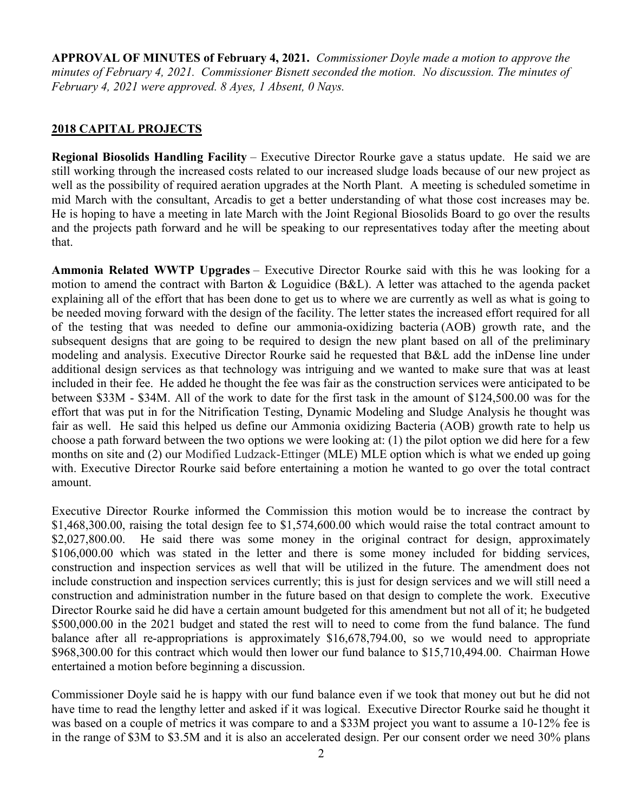APPROVAL OF MINUTES of February 4, 2021. Commissioner Doyle made a motion to approve the minutes of February 4, 2021. Commissioner Bisnett seconded the motion. No discussion. The minutes of February 4, 2021 were approved. 8 Ayes, 1 Absent, 0 Nays.

## 2018 CAPITAL PROJECTS

Regional Biosolids Handling Facility – Executive Director Rourke gave a status update. He said we are still working through the increased costs related to our increased sludge loads because of our new project as well as the possibility of required aeration upgrades at the North Plant. A meeting is scheduled sometime in mid March with the consultant, Arcadis to get a better understanding of what those cost increases may be. He is hoping to have a meeting in late March with the Joint Regional Biosolids Board to go over the results and the projects path forward and he will be speaking to our representatives today after the meeting about that.

Ammonia Related WWTP Upgrades – Executive Director Rourke said with this he was looking for a motion to amend the contract with Barton & Loguidice (B&L). A letter was attached to the agenda packet explaining all of the effort that has been done to get us to where we are currently as well as what is going to be needed moving forward with the design of the facility. The letter states the increased effort required for all of the testing that was needed to define our ammonia-oxidizing bacteria (AOB) growth rate, and the subsequent designs that are going to be required to design the new plant based on all of the preliminary modeling and analysis. Executive Director Rourke said he requested that B&L add the inDense line under additional design services as that technology was intriguing and we wanted to make sure that was at least included in their fee. He added he thought the fee was fair as the construction services were anticipated to be between \$33M - \$34M. All of the work to date for the first task in the amount of \$124,500.00 was for the effort that was put in for the Nitrification Testing, Dynamic Modeling and Sludge Analysis he thought was fair as well. He said this helped us define our Ammonia oxidizing Bacteria (AOB) growth rate to help us choose a path forward between the two options we were looking at: (1) the pilot option we did here for a few months on site and (2) our Modified Ludzack-Ettinger (MLE) MLE option which is what we ended up going with. Executive Director Rourke said before entertaining a motion he wanted to go over the total contract amount.

Executive Director Rourke informed the Commission this motion would be to increase the contract by \$1,468,300.00, raising the total design fee to \$1,574,600.00 which would raise the total contract amount to \$2,027,800.00. He said there was some money in the original contract for design, approximately \$106,000.00 which was stated in the letter and there is some money included for bidding services, construction and inspection services as well that will be utilized in the future. The amendment does not include construction and inspection services currently; this is just for design services and we will still need a construction and administration number in the future based on that design to complete the work. Executive Director Rourke said he did have a certain amount budgeted for this amendment but not all of it; he budgeted \$500,000.00 in the 2021 budget and stated the rest will to need to come from the fund balance. The fund balance after all re-appropriations is approximately \$16,678,794.00, so we would need to appropriate \$968,300.00 for this contract which would then lower our fund balance to \$15,710,494.00. Chairman Howe entertained a motion before beginning a discussion.

Commissioner Doyle said he is happy with our fund balance even if we took that money out but he did not have time to read the lengthy letter and asked if it was logical. Executive Director Rourke said he thought it was based on a couple of metrics it was compare to and a \$33M project you want to assume a 10-12% fee is in the range of \$3M to \$3.5M and it is also an accelerated design. Per our consent order we need 30% plans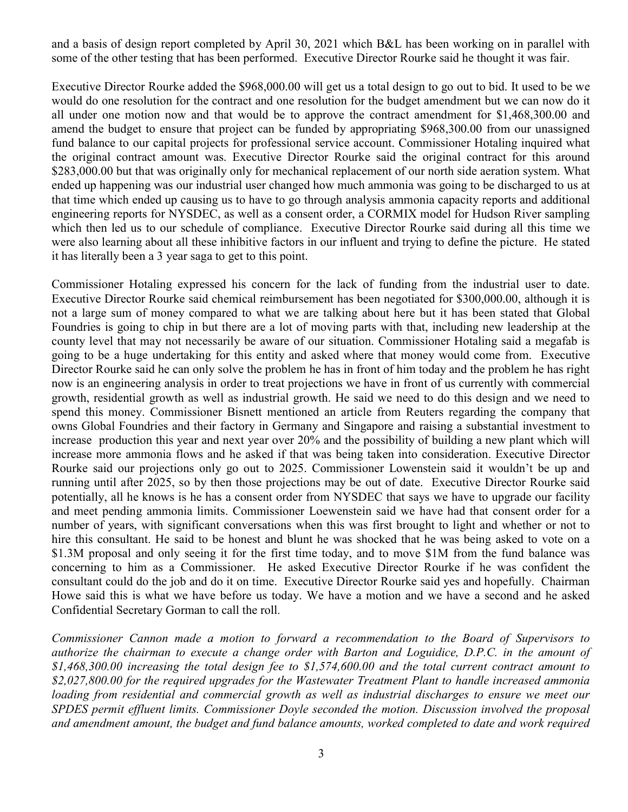and a basis of design report completed by April 30, 2021 which B&L has been working on in parallel with some of the other testing that has been performed. Executive Director Rourke said he thought it was fair.

Executive Director Rourke added the \$968,000.00 will get us a total design to go out to bid. It used to be we would do one resolution for the contract and one resolution for the budget amendment but we can now do it all under one motion now and that would be to approve the contract amendment for \$1,468,300.00 and amend the budget to ensure that project can be funded by appropriating \$968,300.00 from our unassigned fund balance to our capital projects for professional service account. Commissioner Hotaling inquired what the original contract amount was. Executive Director Rourke said the original contract for this around \$283,000.00 but that was originally only for mechanical replacement of our north side aeration system. What ended up happening was our industrial user changed how much ammonia was going to be discharged to us at that time which ended up causing us to have to go through analysis ammonia capacity reports and additional engineering reports for NYSDEC, as well as a consent order, a CORMIX model for Hudson River sampling which then led us to our schedule of compliance. Executive Director Rourke said during all this time we were also learning about all these inhibitive factors in our influent and trying to define the picture. He stated it has literally been a 3 year saga to get to this point.

Commissioner Hotaling expressed his concern for the lack of funding from the industrial user to date. Executive Director Rourke said chemical reimbursement has been negotiated for \$300,000.00, although it is not a large sum of money compared to what we are talking about here but it has been stated that Global Foundries is going to chip in but there are a lot of moving parts with that, including new leadership at the county level that may not necessarily be aware of our situation. Commissioner Hotaling said a megafab is going to be a huge undertaking for this entity and asked where that money would come from. Executive Director Rourke said he can only solve the problem he has in front of him today and the problem he has right now is an engineering analysis in order to treat projections we have in front of us currently with commercial growth, residential growth as well as industrial growth. He said we need to do this design and we need to spend this money. Commissioner Bisnett mentioned an article from Reuters regarding the company that owns Global Foundries and their factory in Germany and Singapore and raising a substantial investment to increase production this year and next year over 20% and the possibility of building a new plant which will increase more ammonia flows and he asked if that was being taken into consideration. Executive Director Rourke said our projections only go out to 2025. Commissioner Lowenstein said it wouldn't be up and running until after 2025, so by then those projections may be out of date. Executive Director Rourke said potentially, all he knows is he has a consent order from NYSDEC that says we have to upgrade our facility and meet pending ammonia limits. Commissioner Loewenstein said we have had that consent order for a number of years, with significant conversations when this was first brought to light and whether or not to hire this consultant. He said to be honest and blunt he was shocked that he was being asked to vote on a \$1.3M proposal and only seeing it for the first time today, and to move \$1M from the fund balance was concerning to him as a Commissioner. He asked Executive Director Rourke if he was confident the consultant could do the job and do it on time. Executive Director Rourke said yes and hopefully. Chairman Howe said this is what we have before us today. We have a motion and we have a second and he asked Confidential Secretary Gorman to call the roll.

Commissioner Cannon made a motion to forward a recommendation to the Board of Supervisors to authorize the chairman to execute a change order with Barton and Loguidice, D.P.C. in the amount of \$1,468,300.00 increasing the total design fee to \$1,574,600.00 and the total current contract amount to \$2,027,800.00 for the required upgrades for the Wastewater Treatment Plant to handle increased ammonia loading from residential and commercial growth as well as industrial discharges to ensure we meet our SPDES permit effluent limits. Commissioner Doyle seconded the motion. Discussion involved the proposal and amendment amount, the budget and fund balance amounts, worked completed to date and work required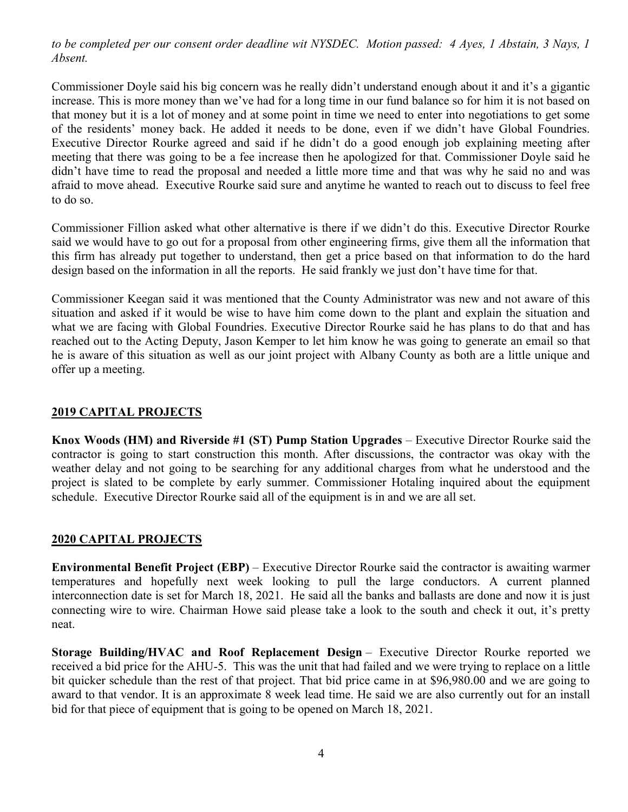to be completed per our consent order deadline wit NYSDEC. Motion passed: 4 Ayes, 1 Abstain, 3 Nays, 1 Absent.

Commissioner Doyle said his big concern was he really didn't understand enough about it and it's a gigantic increase. This is more money than we've had for a long time in our fund balance so for him it is not based on that money but it is a lot of money and at some point in time we need to enter into negotiations to get some of the residents' money back. He added it needs to be done, even if we didn't have Global Foundries. Executive Director Rourke agreed and said if he didn't do a good enough job explaining meeting after meeting that there was going to be a fee increase then he apologized for that. Commissioner Doyle said he didn't have time to read the proposal and needed a little more time and that was why he said no and was afraid to move ahead. Executive Rourke said sure and anytime he wanted to reach out to discuss to feel free to do so.

Commissioner Fillion asked what other alternative is there if we didn't do this. Executive Director Rourke said we would have to go out for a proposal from other engineering firms, give them all the information that this firm has already put together to understand, then get a price based on that information to do the hard design based on the information in all the reports. He said frankly we just don't have time for that.

Commissioner Keegan said it was mentioned that the County Administrator was new and not aware of this situation and asked if it would be wise to have him come down to the plant and explain the situation and what we are facing with Global Foundries. Executive Director Rourke said he has plans to do that and has reached out to the Acting Deputy, Jason Kemper to let him know he was going to generate an email so that he is aware of this situation as well as our joint project with Albany County as both are a little unique and offer up a meeting.

## 2019 CAPITAL PROJECTS

Knox Woods (HM) and Riverside #1 (ST) Pump Station Upgrades – Executive Director Rourke said the contractor is going to start construction this month. After discussions, the contractor was okay with the weather delay and not going to be searching for any additional charges from what he understood and the project is slated to be complete by early summer. Commissioner Hotaling inquired about the equipment schedule. Executive Director Rourke said all of the equipment is in and we are all set.

## 2020 CAPITAL PROJECTS

Environmental Benefit Project (EBP) – Executive Director Rourke said the contractor is awaiting warmer temperatures and hopefully next week looking to pull the large conductors. A current planned interconnection date is set for March 18, 2021. He said all the banks and ballasts are done and now it is just connecting wire to wire. Chairman Howe said please take a look to the south and check it out, it's pretty neat.

Storage Building/HVAC and Roof Replacement Design – Executive Director Rourke reported we received a bid price for the AHU-5. This was the unit that had failed and we were trying to replace on a little bit quicker schedule than the rest of that project. That bid price came in at \$96,980.00 and we are going to award to that vendor. It is an approximate 8 week lead time. He said we are also currently out for an install bid for that piece of equipment that is going to be opened on March 18, 2021.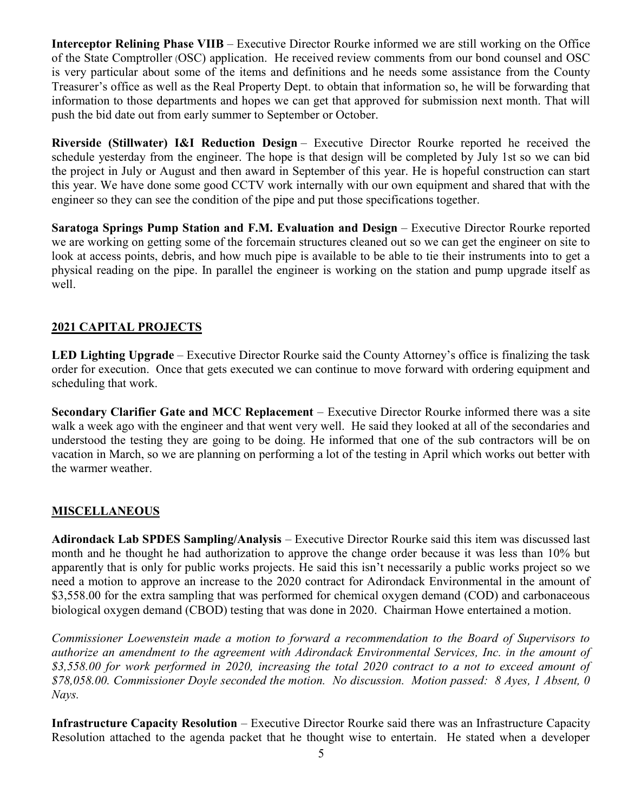Interceptor Relining Phase VIIB – Executive Director Rourke informed we are still working on the Office of the State Comptroller (OSC) application. He received review comments from our bond counsel and OSC is very particular about some of the items and definitions and he needs some assistance from the County Treasurer's office as well as the Real Property Dept. to obtain that information so, he will be forwarding that information to those departments and hopes we can get that approved for submission next month. That will push the bid date out from early summer to September or October.

Riverside (Stillwater) I&I Reduction Design – Executive Director Rourke reported he received the schedule yesterday from the engineer. The hope is that design will be completed by July 1st so we can bid the project in July or August and then award in September of this year. He is hopeful construction can start this year. We have done some good CCTV work internally with our own equipment and shared that with the engineer so they can see the condition of the pipe and put those specifications together.

Saratoga Springs Pump Station and F.M. Evaluation and Design – Executive Director Rourke reported we are working on getting some of the forcemain structures cleaned out so we can get the engineer on site to look at access points, debris, and how much pipe is available to be able to tie their instruments into to get a physical reading on the pipe. In parallel the engineer is working on the station and pump upgrade itself as well.

# 2021 CAPITAL PROJECTS

LED Lighting Upgrade – Executive Director Rourke said the County Attorney's office is finalizing the task order for execution. Once that gets executed we can continue to move forward with ordering equipment and scheduling that work.

Secondary Clarifier Gate and MCC Replacement – Executive Director Rourke informed there was a site walk a week ago with the engineer and that went very well. He said they looked at all of the secondaries and understood the testing they are going to be doing. He informed that one of the sub contractors will be on vacation in March, so we are planning on performing a lot of the testing in April which works out better with the warmer weather.

# **MISCELLANEOUS**

Adirondack Lab SPDES Sampling/Analysis – Executive Director Rourke said this item was discussed last month and he thought he had authorization to approve the change order because it was less than 10% but apparently that is only for public works projects. He said this isn't necessarily a public works project so we need a motion to approve an increase to the 2020 contract for Adirondack Environmental in the amount of \$3,558.00 for the extra sampling that was performed for chemical oxygen demand (COD) and carbonaceous biological oxygen demand (CBOD) testing that was done in 2020. Chairman Howe entertained a motion.

Commissioner Loewenstein made a motion to forward a recommendation to the Board of Supervisors to authorize an amendment to the agreement with Adirondack Environmental Services, Inc. in the amount of \$3,558.00 for work performed in 2020, increasing the total 2020 contract to a not to exceed amount of \$78,058.00. Commissioner Doyle seconded the motion. No discussion. Motion passed: 8 Ayes, 1 Absent, 0 Nays.

Infrastructure Capacity Resolution – Executive Director Rourke said there was an Infrastructure Capacity Resolution attached to the agenda packet that he thought wise to entertain. He stated when a developer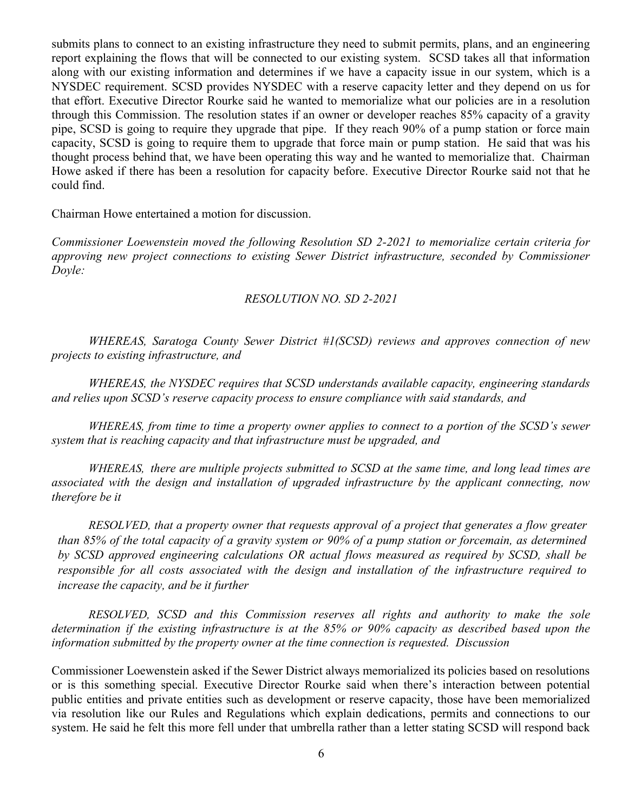submits plans to connect to an existing infrastructure they need to submit permits, plans, and an engineering report explaining the flows that will be connected to our existing system. SCSD takes all that information along with our existing information and determines if we have a capacity issue in our system, which is a NYSDEC requirement. SCSD provides NYSDEC with a reserve capacity letter and they depend on us for that effort. Executive Director Rourke said he wanted to memorialize what our policies are in a resolution through this Commission. The resolution states if an owner or developer reaches 85% capacity of a gravity pipe, SCSD is going to require they upgrade that pipe. If they reach 90% of a pump station or force main capacity, SCSD is going to require them to upgrade that force main or pump station. He said that was his thought process behind that, we have been operating this way and he wanted to memorialize that. Chairman Howe asked if there has been a resolution for capacity before. Executive Director Rourke said not that he could find.

Chairman Howe entertained a motion for discussion.

Commissioner Loewenstein moved the following Resolution SD 2-2021 to memorialize certain criteria for approving new project connections to existing Sewer District infrastructure, seconded by Commissioner Doyle:

### RESOLUTION NO. SD 2-2021

 WHEREAS, Saratoga County Sewer District #1(SCSD) reviews and approves connection of new projects to existing infrastructure, and

 WHEREAS, the NYSDEC requires that SCSD understands available capacity, engineering standards and relies upon SCSD's reserve capacity process to ensure compliance with said standards, and

WHEREAS, from time to time a property owner applies to connect to a portion of the SCSD's sewer system that is reaching capacity and that infrastructure must be upgraded, and

WHEREAS, there are multiple projects submitted to SCSD at the same time, and long lead times are associated with the design and installation of upgraded infrastructure by the applicant connecting, now therefore be it

RESOLVED, that a property owner that requests approval of a project that generates a flow greater than 85% of the total capacity of a gravity system or 90% of a pump station or forcemain, as determined by SCSD approved engineering calculations OR actual flows measured as required by SCSD, shall be responsible for all costs associated with the design and installation of the infrastructure required to increase the capacity, and be it further

RESOLVED, SCSD and this Commission reserves all rights and authority to make the sole determination if the existing infrastructure is at the 85% or 90% capacity as described based upon the information submitted by the property owner at the time connection is requested. Discussion

Commissioner Loewenstein asked if the Sewer District always memorialized its policies based on resolutions or is this something special. Executive Director Rourke said when there's interaction between potential public entities and private entities such as development or reserve capacity, those have been memorialized via resolution like our Rules and Regulations which explain dedications, permits and connections to our system. He said he felt this more fell under that umbrella rather than a letter stating SCSD will respond back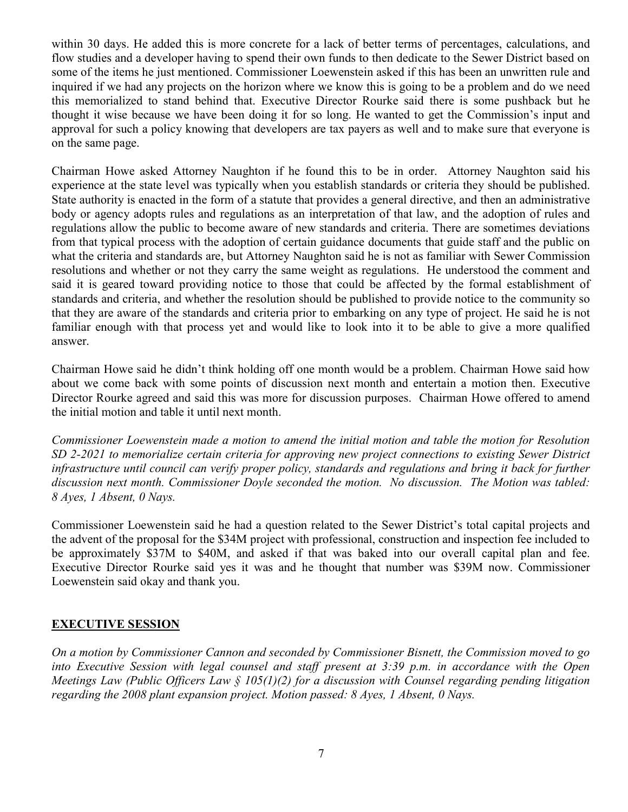within 30 days. He added this is more concrete for a lack of better terms of percentages, calculations, and flow studies and a developer having to spend their own funds to then dedicate to the Sewer District based on some of the items he just mentioned. Commissioner Loewenstein asked if this has been an unwritten rule and inquired if we had any projects on the horizon where we know this is going to be a problem and do we need this memorialized to stand behind that. Executive Director Rourke said there is some pushback but he thought it wise because we have been doing it for so long. He wanted to get the Commission's input and approval for such a policy knowing that developers are tax payers as well and to make sure that everyone is on the same page.

Chairman Howe asked Attorney Naughton if he found this to be in order. Attorney Naughton said his experience at the state level was typically when you establish standards or criteria they should be published. State authority is enacted in the form of a statute that provides a general directive, and then an administrative body or agency adopts rules and regulations as an interpretation of that law, and the adoption of rules and regulations allow the public to become aware of new standards and criteria. There are sometimes deviations from that typical process with the adoption of certain guidance documents that guide staff and the public on what the criteria and standards are, but Attorney Naughton said he is not as familiar with Sewer Commission resolutions and whether or not they carry the same weight as regulations. He understood the comment and said it is geared toward providing notice to those that could be affected by the formal establishment of standards and criteria, and whether the resolution should be published to provide notice to the community so that they are aware of the standards and criteria prior to embarking on any type of project. He said he is not familiar enough with that process yet and would like to look into it to be able to give a more qualified answer.

Chairman Howe said he didn't think holding off one month would be a problem. Chairman Howe said how about we come back with some points of discussion next month and entertain a motion then. Executive Director Rourke agreed and said this was more for discussion purposes. Chairman Howe offered to amend the initial motion and table it until next month.

Commissioner Loewenstein made a motion to amend the initial motion and table the motion for Resolution SD 2-2021 to memorialize certain criteria for approving new project connections to existing Sewer District infrastructure until council can verify proper policy, standards and regulations and bring it back for further discussion next month. Commissioner Doyle seconded the motion. No discussion. The Motion was tabled: 8 Ayes, 1 Absent, 0 Nays.

Commissioner Loewenstein said he had a question related to the Sewer District's total capital projects and the advent of the proposal for the \$34M project with professional, construction and inspection fee included to be approximately \$37M to \$40M, and asked if that was baked into our overall capital plan and fee. Executive Director Rourke said yes it was and he thought that number was \$39M now. Commissioner Loewenstein said okay and thank you.

# EXECUTIVE SESSION

On a motion by Commissioner Cannon and seconded by Commissioner Bisnett, the Commission moved to go into Executive Session with legal counsel and staff present at 3:39 p.m. in accordance with the Open Meetings Law (Public Officers Law § 105(1)(2) for a discussion with Counsel regarding pending litigation regarding the 2008 plant expansion project. Motion passed: 8 Ayes, 1 Absent, 0 Nays.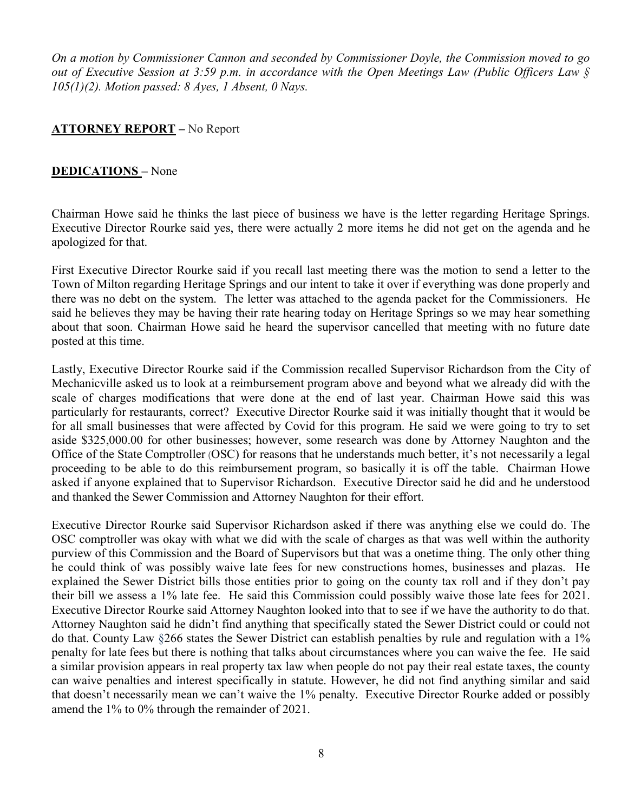On a motion by Commissioner Cannon and seconded by Commissioner Doyle, the Commission moved to go out of Executive Session at 3:59 p.m. in accordance with the Open Meetings Law (Public Officers Law §  $105(1)(2)$ . Motion passed: 8 Ayes, 1 Absent, 0 Nays.

## **ATTORNEY REPORT** – No Report

## DEDICATIONS – None

Chairman Howe said he thinks the last piece of business we have is the letter regarding Heritage Springs. Executive Director Rourke said yes, there were actually 2 more items he did not get on the agenda and he apologized for that.

First Executive Director Rourke said if you recall last meeting there was the motion to send a letter to the Town of Milton regarding Heritage Springs and our intent to take it over if everything was done properly and there was no debt on the system. The letter was attached to the agenda packet for the Commissioners. He said he believes they may be having their rate hearing today on Heritage Springs so we may hear something about that soon. Chairman Howe said he heard the supervisor cancelled that meeting with no future date posted at this time.

Lastly, Executive Director Rourke said if the Commission recalled Supervisor Richardson from the City of Mechanicville asked us to look at a reimbursement program above and beyond what we already did with the scale of charges modifications that were done at the end of last year. Chairman Howe said this was particularly for restaurants, correct? Executive Director Rourke said it was initially thought that it would be for all small businesses that were affected by Covid for this program. He said we were going to try to set aside \$325,000.00 for other businesses; however, some research was done by Attorney Naughton and the Office of the State Comptroller (OSC) for reasons that he understands much better, it's not necessarily a legal proceeding to be able to do this reimbursement program, so basically it is off the table. Chairman Howe asked if anyone explained that to Supervisor Richardson. Executive Director said he did and he understood and thanked the Sewer Commission and Attorney Naughton for their effort.

Executive Director Rourke said Supervisor Richardson asked if there was anything else we could do. The OSC comptroller was okay with what we did with the scale of charges as that was well within the authority purview of this Commission and the Board of Supervisors but that was a onetime thing. The only other thing he could think of was possibly waive late fees for new constructions homes, businesses and plazas. He explained the Sewer District bills those entities prior to going on the county tax roll and if they don't pay their bill we assess a 1% late fee. He said this Commission could possibly waive those late fees for 2021. Executive Director Rourke said Attorney Naughton looked into that to see if we have the authority to do that. Attorney Naughton said he didn't find anything that specifically stated the Sewer District could or could not do that. County Law §266 states the Sewer District can establish penalties by rule and regulation with a 1% penalty for late fees but there is nothing that talks about circumstances where you can waive the fee. He said a similar provision appears in real property tax law when people do not pay their real estate taxes, the county can waive penalties and interest specifically in statute. However, he did not find anything similar and said that doesn't necessarily mean we can't waive the 1% penalty. Executive Director Rourke added or possibly amend the 1% to 0% through the remainder of 2021.